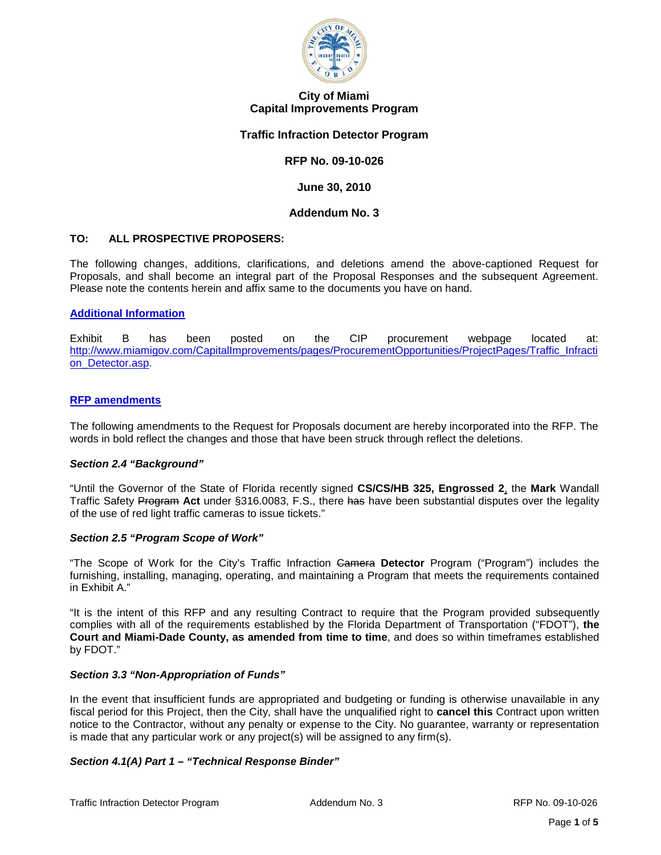

### **City of Miami Capital Improvements Program**

### **Traffic Infraction Detector Program**

## **RFP No. 09-10-026**

**June 30, 2010**

### **Addendum No. 3**

# **TO: ALL PROSPECTIVE PROPOSERS:**

The following changes, additions, clarifications, and deletions amend the above-captioned Request for Proposals, and shall become an integral part of the Proposal Responses and the subsequent Agreement. Please note the contents herein and affix same to the documents you have on hand.

### **Additional Information**

Exhibit B has been posted on the CIP procurement webpage located at: [http://www.miamigov.com/CapitalImprovements/pages/ProcurementOpportunities/ProjectPages/Traffic\\_Infracti](http://www.miamigov.com/CapitalImprovements/pages/ProcurementOpportunities/ProjectPages/Traffic_Infraction_Detector.asp) on Detector.asp.

### **RFP amendments**

The following amendments to the Request for Proposals document are hereby incorporated into the RFP. The words in bold reflect the changes and those that have been struck through reflect the deletions.

### *Section 2.4 "Background"*

"Until the Governor of the State of Florida recently signed **CS/CS/HB 325, Engrossed 2**, the **Mark** Wandall Traffic Safety Program **Act** under §316.0083, F.S., there has have been substantial disputes over the legality of the use of red light traffic cameras to issue tickets."

### *Section 2.5 "Program Scope of Work"*

"The Scope of Work for the City's Traffic Infraction Camera **Detector** Program ("Program") includes the furnishing, installing, managing, operating, and maintaining a Program that meets the requirements contained in Exhibit A."

"It is the intent of this RFP and any resulting Contract to require that the Program provided subsequently complies with all of the requirements established by the Florida Department of Transportation ("FDOT"), **the Court and Miami-Dade County, as amended from time to time**, and does so within timeframes established by FDOT."

### *Section 3.3 "Non-Appropriation of Funds"*

In the event that insufficient funds are appropriated and budgeting or funding is otherwise unavailable in any fiscal period for this Project, then the City, shall have the unqualified right to **cancel this** Contract upon written notice to the Contractor, without any penalty or expense to the City. No guarantee, warranty or representation is made that any particular work or any project(s) will be assigned to any firm(s).

# *Section 4.1(A) Part 1 – "Technical Response Binder"*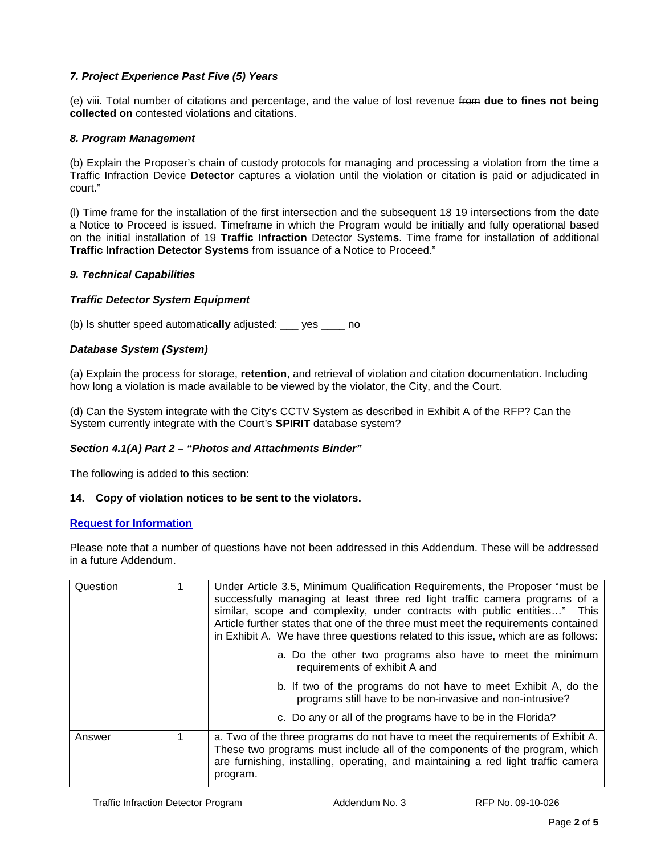# *7. Project Experience Past Five (5) Years*

(e) viii. Total number of citations and percentage, and the value of lost revenue from **due to fines not being collected on** contested violations and citations.

# *8. Program Management*

(b) Explain the Proposer's chain of custody protocols for managing and processing a violation from the time a Traffic Infraction Device **Detector** captures a violation until the violation or citation is paid or adjudicated in court."

(l) Time frame for the installation of the first intersection and the subsequent 18 19 intersections from the date a Notice to Proceed is issued. Timeframe in which the Program would be initially and fully operational based on the initial installation of 19 **Traffic Infraction** Detector System**s**. Time frame for installation of additional **Traffic Infraction Detector Systems** from issuance of a Notice to Proceed."

## *9. Technical Capabilities*

# *Traffic Detector System Equipment*

(b) Is shutter speed automatic**ally** adjusted: \_\_\_ yes \_\_\_\_ no

## *Database System (System)*

(a) Explain the process for storage, **retention**, and retrieval of violation and citation documentation. Including how long a violation is made available to be viewed by the violator, the City, and the Court.

(d) Can the System integrate with the City's CCTV System as described in Exhibit A of the RFP? Can the System currently integrate with the Court's **SPIRIT** database system?

# *Section 4.1(A) Part 2 – "Photos and Attachments Binder"*

The following is added to this section:

### **14. Copy of violation notices to be sent to the violators.**

### **Request for Information**

Please note that a number of questions have not been addressed in this Addendum. These will be addressed in a future Addendum.

| Question | Under Article 3.5, Minimum Qualification Requirements, the Proposer "must be<br>successfully managing at least three red light traffic camera programs of a<br>similar, scope and complexity, under contracts with public entities" This<br>Article further states that one of the three must meet the requirements contained<br>in Exhibit A. We have three questions related to this issue, which are as follows: |
|----------|---------------------------------------------------------------------------------------------------------------------------------------------------------------------------------------------------------------------------------------------------------------------------------------------------------------------------------------------------------------------------------------------------------------------|
|          | a. Do the other two programs also have to meet the minimum<br>requirements of exhibit A and                                                                                                                                                                                                                                                                                                                         |
|          | b. If two of the programs do not have to meet Exhibit A, do the<br>programs still have to be non-invasive and non-intrusive?                                                                                                                                                                                                                                                                                        |
|          | c. Do any or all of the programs have to be in the Florida?                                                                                                                                                                                                                                                                                                                                                         |
| Answer   | a. Two of the three programs do not have to meet the requirements of Exhibit A.<br>These two programs must include all of the components of the program, which<br>are furnishing, installing, operating, and maintaining a red light traffic camera<br>program.                                                                                                                                                     |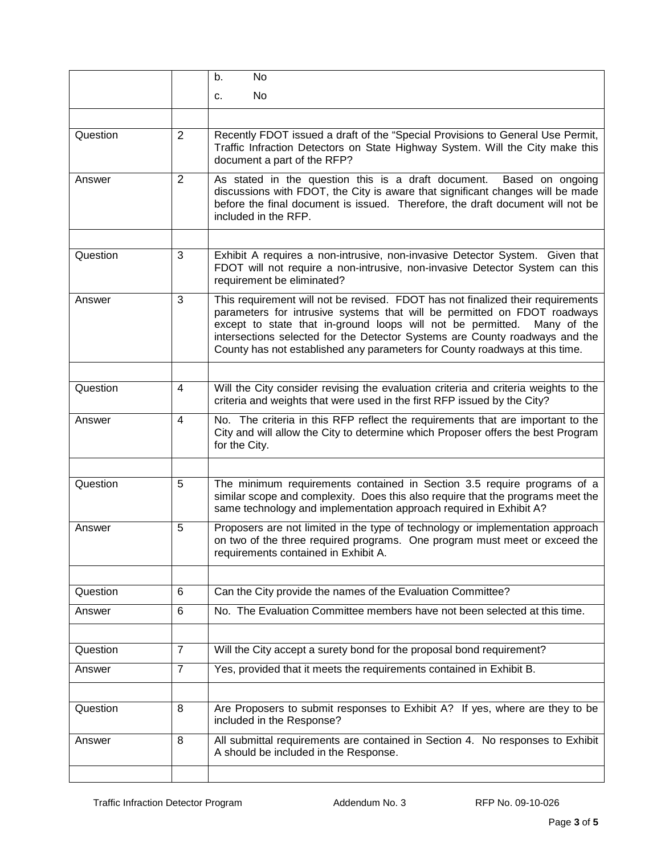|          |                         | b.<br>No                                                                                                                                                                                                                                                                                                                                                                                                |
|----------|-------------------------|---------------------------------------------------------------------------------------------------------------------------------------------------------------------------------------------------------------------------------------------------------------------------------------------------------------------------------------------------------------------------------------------------------|
|          |                         | No<br>C.                                                                                                                                                                                                                                                                                                                                                                                                |
|          |                         |                                                                                                                                                                                                                                                                                                                                                                                                         |
| Question | $\overline{2}$          | Recently FDOT issued a draft of the "Special Provisions to General Use Permit,<br>Traffic Infraction Detectors on State Highway System. Will the City make this<br>document a part of the RFP?                                                                                                                                                                                                          |
| Answer   | $\overline{2}$          | As stated in the question this is a draft document.<br>Based on ongoing<br>discussions with FDOT, the City is aware that significant changes will be made<br>before the final document is issued. Therefore, the draft document will not be<br>included in the RFP.                                                                                                                                     |
|          |                         |                                                                                                                                                                                                                                                                                                                                                                                                         |
| Question | 3                       | Exhibit A requires a non-intrusive, non-invasive Detector System. Given that<br>FDOT will not require a non-intrusive, non-invasive Detector System can this<br>requirement be eliminated?                                                                                                                                                                                                              |
| Answer   | 3                       | This requirement will not be revised. FDOT has not finalized their requirements<br>parameters for intrusive systems that will be permitted on FDOT roadways<br>except to state that in-ground loops will not be permitted.<br>Many of the<br>intersections selected for the Detector Systems are County roadways and the<br>County has not established any parameters for County roadways at this time. |
|          |                         |                                                                                                                                                                                                                                                                                                                                                                                                         |
| Question | $\overline{4}$          | Will the City consider revising the evaluation criteria and criteria weights to the<br>criteria and weights that were used in the first RFP issued by the City?                                                                                                                                                                                                                                         |
| Answer   | $\overline{\mathbf{4}}$ | No. The criteria in this RFP reflect the requirements that are important to the<br>City and will allow the City to determine which Proposer offers the best Program<br>for the City.                                                                                                                                                                                                                    |
|          |                         |                                                                                                                                                                                                                                                                                                                                                                                                         |
| Question | 5                       | The minimum requirements contained in Section 3.5 require programs of a<br>similar scope and complexity. Does this also require that the programs meet the<br>same technology and implementation approach required in Exhibit A?                                                                                                                                                                        |
| Answer   | 5                       | Proposers are not limited in the type of technology or implementation approach<br>on two of the three required programs. One program must meet or exceed the<br>requirements contained in Exhibit A.                                                                                                                                                                                                    |
|          |                         |                                                                                                                                                                                                                                                                                                                                                                                                         |
| Question | 6                       | Can the City provide the names of the Evaluation Committee?                                                                                                                                                                                                                                                                                                                                             |
| Answer   | 6                       | No. The Evaluation Committee members have not been selected at this time.                                                                                                                                                                                                                                                                                                                               |
| Question | $\overline{7}$          | Will the City accept a surety bond for the proposal bond requirement?                                                                                                                                                                                                                                                                                                                                   |
| Answer   | $\overline{7}$          | Yes, provided that it meets the requirements contained in Exhibit B.                                                                                                                                                                                                                                                                                                                                    |
|          |                         |                                                                                                                                                                                                                                                                                                                                                                                                         |
| Question | 8                       | Are Proposers to submit responses to Exhibit A? If yes, where are they to be<br>included in the Response?                                                                                                                                                                                                                                                                                               |
| Answer   | 8                       | All submittal requirements are contained in Section 4. No responses to Exhibit<br>A should be included in the Response.                                                                                                                                                                                                                                                                                 |
|          |                         |                                                                                                                                                                                                                                                                                                                                                                                                         |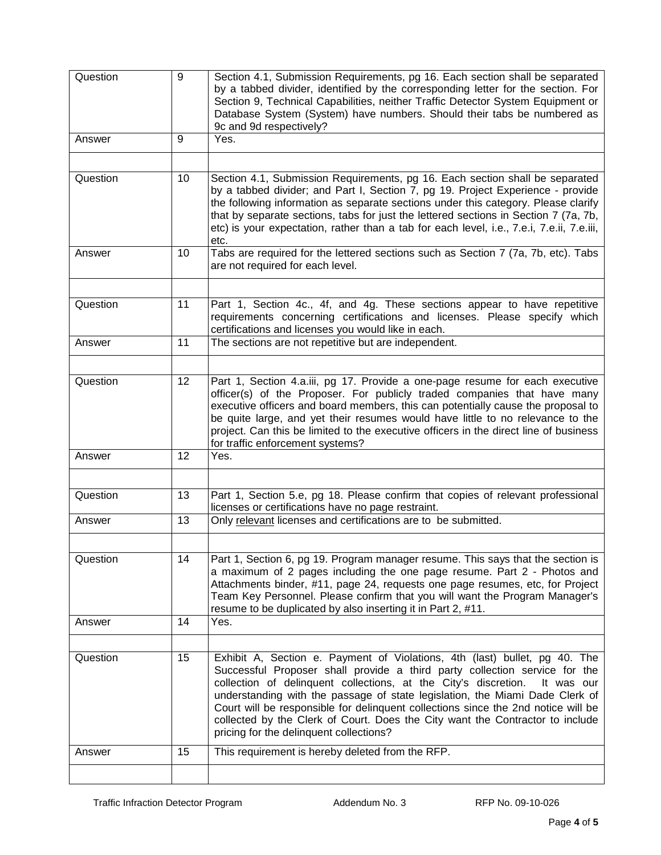| Question | 9  | Section 4.1, Submission Requirements, pg 16. Each section shall be separated<br>by a tabbed divider, identified by the corresponding letter for the section. For<br>Section 9, Technical Capabilities, neither Traffic Detector System Equipment or<br>Database System (System) have numbers. Should their tabs be numbered as<br>9c and 9d respectively?                                                                                                                                                                                  |
|----------|----|--------------------------------------------------------------------------------------------------------------------------------------------------------------------------------------------------------------------------------------------------------------------------------------------------------------------------------------------------------------------------------------------------------------------------------------------------------------------------------------------------------------------------------------------|
| Answer   | 9  | Yes.                                                                                                                                                                                                                                                                                                                                                                                                                                                                                                                                       |
|          |    |                                                                                                                                                                                                                                                                                                                                                                                                                                                                                                                                            |
| Question | 10 | Section 4.1, Submission Requirements, pg 16. Each section shall be separated<br>by a tabbed divider; and Part I, Section 7, pg 19. Project Experience - provide<br>the following information as separate sections under this category. Please clarify<br>that by separate sections, tabs for just the lettered sections in Section 7 (7a, 7b,<br>etc) is your expectation, rather than a tab for each level, i.e., 7.e.i, 7.e.ii, 7.e.iii,<br>etc.                                                                                         |
| Answer   | 10 | Tabs are required for the lettered sections such as Section 7 (7a, 7b, etc). Tabs<br>are not required for each level.                                                                                                                                                                                                                                                                                                                                                                                                                      |
|          |    |                                                                                                                                                                                                                                                                                                                                                                                                                                                                                                                                            |
| Question | 11 | Part 1, Section 4c., 4f, and 4g. These sections appear to have repetitive<br>requirements concerning certifications and licenses. Please specify which<br>certifications and licenses you would like in each.                                                                                                                                                                                                                                                                                                                              |
| Answer   | 11 | The sections are not repetitive but are independent.                                                                                                                                                                                                                                                                                                                                                                                                                                                                                       |
|          |    |                                                                                                                                                                                                                                                                                                                                                                                                                                                                                                                                            |
| Question | 12 | Part 1, Section 4.a.iii, pg 17. Provide a one-page resume for each executive<br>officer(s) of the Proposer. For publicly traded companies that have many<br>executive officers and board members, this can potentially cause the proposal to<br>be quite large, and yet their resumes would have little to no relevance to the<br>project. Can this be limited to the executive officers in the direct line of business<br>for traffic enforcement systems?                                                                                |
| Answer   | 12 | Yes.                                                                                                                                                                                                                                                                                                                                                                                                                                                                                                                                       |
|          |    |                                                                                                                                                                                                                                                                                                                                                                                                                                                                                                                                            |
| Question | 13 | Part 1, Section 5.e, pg 18. Please confirm that copies of relevant professional<br>licenses or certifications have no page restraint.                                                                                                                                                                                                                                                                                                                                                                                                      |
| Answer   | 13 | Only relevant licenses and certifications are to be submitted.                                                                                                                                                                                                                                                                                                                                                                                                                                                                             |
|          |    |                                                                                                                                                                                                                                                                                                                                                                                                                                                                                                                                            |
| Question | 14 | Part 1, Section 6, pg 19. Program manager resume. This says that the section is<br>a maximum of 2 pages including the one page resume. Part 2 - Photos and<br>Attachments binder, #11, page 24, requests one page resumes, etc, for Project<br>Team Key Personnel. Please confirm that you will want the Program Manager's<br>resume to be duplicated by also inserting it in Part 2, #11.                                                                                                                                                 |
| Answer   | 14 | Yes.                                                                                                                                                                                                                                                                                                                                                                                                                                                                                                                                       |
|          |    |                                                                                                                                                                                                                                                                                                                                                                                                                                                                                                                                            |
| Question | 15 | Exhibit A, Section e. Payment of Violations, 4th (last) bullet, pg 40. The<br>Successful Proposer shall provide a third party collection service for the<br>collection of delinquent collections, at the City's discretion.<br>It was our<br>understanding with the passage of state legislation, the Miami Dade Clerk of<br>Court will be responsible for delinquent collections since the 2nd notice will be<br>collected by the Clerk of Court. Does the City want the Contractor to include<br>pricing for the delinquent collections? |
| Answer   | 15 | This requirement is hereby deleted from the RFP.                                                                                                                                                                                                                                                                                                                                                                                                                                                                                           |
|          |    |                                                                                                                                                                                                                                                                                                                                                                                                                                                                                                                                            |